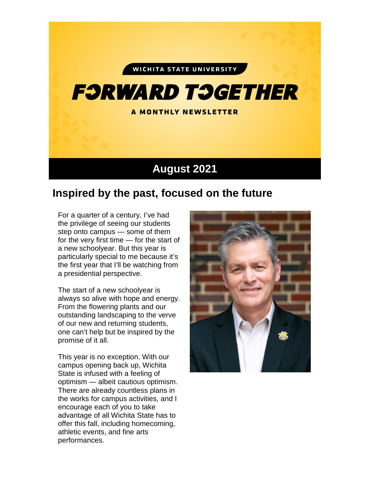#### WICHITA STATE UNIVERSITY

# **F:JRWARD T:JGETHER**

A MONTHLY NEWSLETTER

### **August 2021**

## **Inspired by the past, focused on the future**

For a quarter of a century, I've had the privilege of seeing our students step onto campus — some of them for the very first time — for the start of a new schoolyear. But this year is particularly special to me because it's the first year that I'll be watching from a presidential perspective.

The start of a new schoolyear is always so alive with hope and energy. From the flowering plants and our outstanding landscaping to the verve of our new and returning students, one can't help but be inspired by the promise of it all.

This year is no exception. With our campus opening back up, Wichita State is infused with a feeling of optimism — albeit cautious optimism. There are already countless plans in the works for campus activities, and I encourage each of you to take advantage of all Wichita State has to offer this fall, including homecoming, athletic events, and fine arts performances.

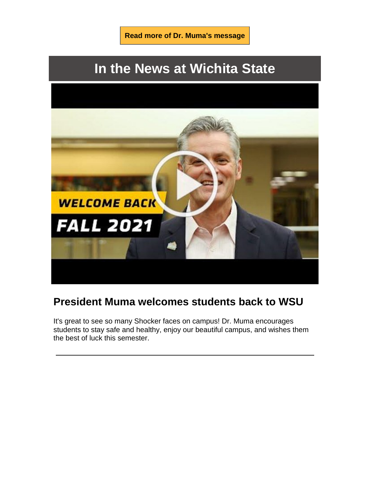

# **In the News at Wichita State**



### **President Muma welcomes students back to WSU**

It's great to see so many Shocker faces on campus! Dr. Muma encourages students to stay safe and healthy, enjoy our beautiful campus, and wishes them the best of luck this semester.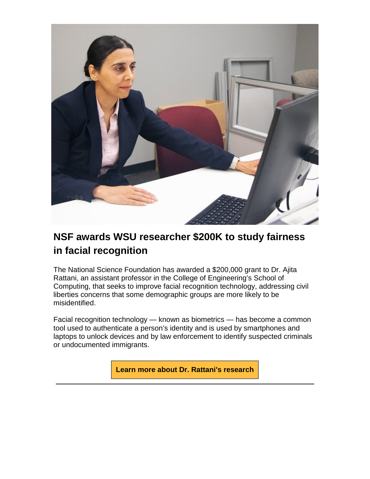

## **NSF awards WSU researcher \$200K to study fairness in facial recognition**

The National Science Foundation has awarded a \$200,000 grant to Dr. Ajita Rattani, an assistant professor in the College of Engineering's School of Computing, that seeks to improve facial recognition technology, addressing civil liberties concerns that some demographic groups are more likely to be misidentified.

Facial recognition technology — known as biometrics — has become a common tool used to authenticate a person's identity and is used by smartphones and laptops to unlock devices and by law enforcement to identify suspected criminals or undocumented immigrants.

**[Learn more about Dr. Rattani's research](https://soar.wichita.edu/bitstream/handle/10057/21700/NSF%20awards%20WSU%20researcher%20%24200K%20to%20study%20fairness%20in%20facial%20recognition.pdf?sequence=2&isAllowed=y)**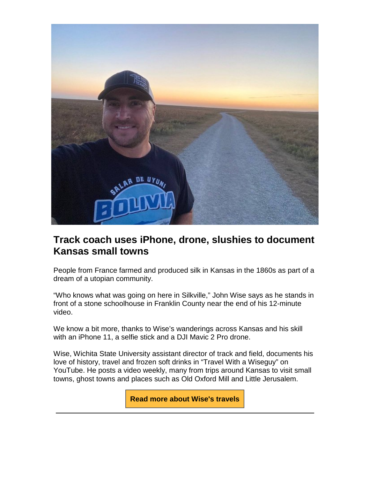

#### **Track coach uses iPhone, drone, slushies to document Kansas small towns**

People from France farmed and produced silk in Kansas in the 1860s as part of a dream of a utopian community.

"Who knows what was going on here in Silkville," John Wise says as he stands in front of a stone schoolhouse in Franklin County near the end of his 12-minute video.

We know a bit more, thanks to Wise's wanderings across Kansas and his skill with an iPhone 11, a selfie stick and a DJI Mavic 2 Pro drone.

Wise, Wichita State University assistant director of track and field, documents his love of history, travel and frozen soft drinks in "Travel With a Wiseguy" on YouTube. He posts a video weekly, many from trips around Kansas to visit small towns, ghost towns and places such as Old Oxford Mill and Little Jerusalem.

**[Read more about Wise's travels](https://soar.wichita.edu/bitstream/handle/10057/21700/Track%20coach%20uses%20iPhone%2c%20drone%2c%20slushies%20to%20document%20Kansas%20small%20towns.pdf?sequence=3&isAllowed=y)**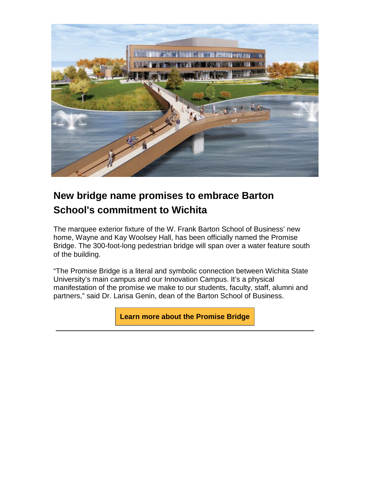

# **New bridge name promises to embrace Barton School's commitment to Wichita**

The marquee exterior fixture of the W. Frank Barton School of Business' new home, Wayne and Kay Woolsey Hall, has been officially named the Promise Bridge. The 300-foot-long pedestrian bridge will span over a water feature south of the building.

"The Promise Bridge is a literal and symbolic connection between Wichita State University's main campus and our Innovation Campus. It's a physical manifestation of the promise we make to our students, faculty, staff, alumni and partners," said Dr. Larisa Genin, dean of the Barton School of Business.

**[Learn more about the Promise Bridge](https://soar.wichita.edu/bitstream/handle/10057/21700/New%20bridge%20name%20promises%20to%20embrace%20Barton%20School%e2%80%99s%20commitment%20to%20Wichita.pdf?sequence=4&isAllowed=y)**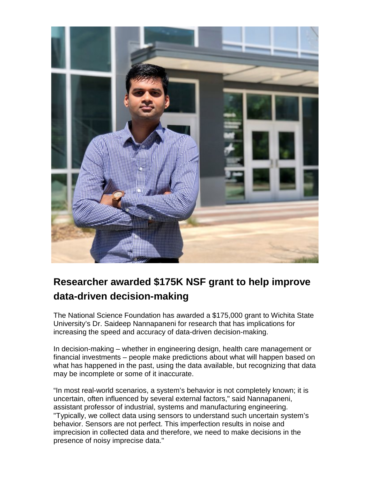

# **Researcher awarded \$175K NSF grant to help improve data-driven decision-making**

The National Science Foundation has awarded a \$175,000 grant to Wichita State University's Dr. Saideep Nannapaneni for research that has implications for increasing the speed and accuracy of data-driven decision-making.

In decision-making – whether in engineering design, health care management or financial investments – people make predictions about what will happen based on what has happened in the past, using the data available, but recognizing that data may be incomplete or some of it inaccurate.

"In most real-world scenarios, a system's behavior is not completely known; it is uncertain, often influenced by several external factors," said Nannapaneni, assistant professor of industrial, systems and manufacturing engineering. "Typically, we collect data using sensors to understand such uncertain system's behavior. Sensors are not perfect. This imperfection results in noise and imprecision in collected data and therefore, we need to make decisions in the presence of noisy imprecise data."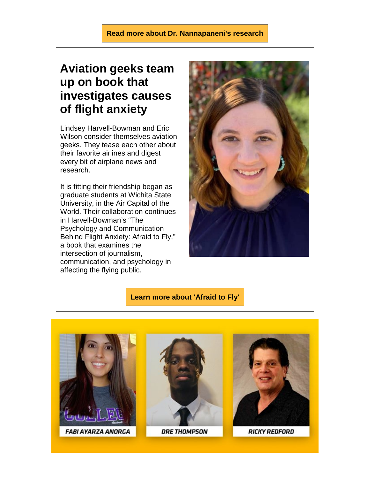#### **[Read more about Dr. Nannapaneni's research](https://soar.wichita.edu/bitstream/handle/10057/21700/WSU%20researcher%20awarded%20%24175%2c000%20NSF%20grant%20to%20help%20improve%20data-driven%20decision-making.pdf?sequence=5&isAllowed=y)**

# **Aviation geeks team up on book that investigates causes of flight anxiety**

Lindsey Harvell-Bowman and Eric Wilson consider themselves aviation geeks. They tease each other about their favorite airlines and digest every bit of airplane news and research.

It is fitting their friendship began as graduate students at Wichita State University, in the Air Capital of the World. Their collaboration continues in Harvell-Bowman's "The Psychology and Communication Behind Flight Anxiety: Afraid to Fly," a book that examines the intersection of journalism, communication, and psychology in affecting the flying public.



#### **[Learn more about 'Afraid to Fly'](https://soar.wichita.edu/bitstream/handle/10057/21700/Aviation%20geeks%20team%20up%20on%20book%20that%20investigates%20causes%20of%20flight%20anxiety.pdf?sequence=6&isAllowed=y)**

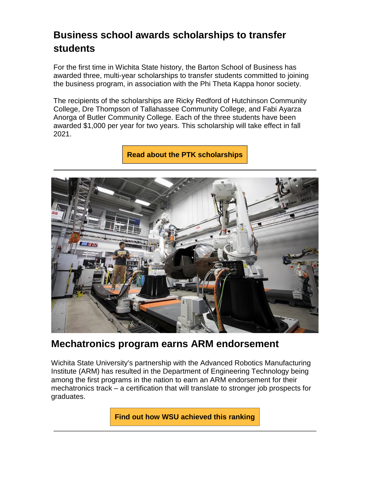## **Business school awards scholarships to transfer students**

For the first time in Wichita State history, the Barton School of Business has awarded three, multi-year scholarships to transfer students committed to joining the business program, in association with the Phi Theta Kappa honor society.

The recipients of the scholarships are Ricky Redford of Hutchinson Community College, Dre Thompson of Tallahassee Community College, and Fabi Ayarza Anorga of Butler Community College. Each of the three students have been awarded \$1,000 per year for two years. This scholarship will take effect in fall 2021.

**[Read about the PTK scholarships](https://soar.wichita.edu/bitstream/handle/10057/21700/Business%20school%20awards%20scholarships%20to%20transfer%20students.pdf?sequence=7&isAllowed=y)**



#### **Mechatronics program earns ARM endorsement**

Wichita State University's partnership with the Advanced Robotics Manufacturing Institute (ARM) has resulted in the Department of Engineering Technology being among the first programs in the nation to earn an ARM endorsement for their mechatronics track – a certification that will translate to stronger job prospects for graduates.

**[Find out how WSU achieved this ranking](https://soar.wichita.edu/bitstream/handle/10057/21700/Wichita%20State%e2%80%99s%20mechatronics%20program%20earns%20ARM%20endorsement.pdf?sequence=8&isAllowed=y)**